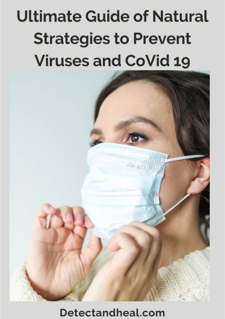# **Ultimate Guide of Natural Strategies to Prevent Viruses and CoVid 19**



## Detectandheal.com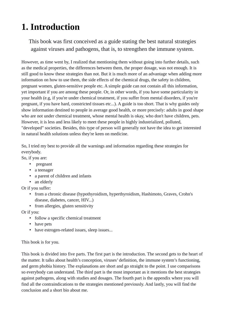## <span id="page-1-0"></span>**1. Introduction**

This book was first conceived as a guide stating the best natural strategies against viruses and pathogens, that is, to strengthen the immune system.

However, as time went by, I realized that mentioning them without going into further details, such as the medical properties, the differences between them, the proper dosage, was not enough. It is still good to know these strategies than not. But it is much more of an advantage when adding more information on how to use them, the side effects of the chemical drugs, the safety in children, pregnant women, gluten-sensitive people etc. A simple guide can not contain all this information, yet important if you are among these people. Or, in other words, if you have some particularity in your health (e.g, if you're under chemical treatment, if you suffer from mental disorders, if you're pregnant, if you have hard, constricted tissues etc...). A guide is too short. That is why guides only show information destined to people in average good health, or more precisely: adults in good shape who are not under chemical treatment, whose mental health is okay, who don't have children, pets. However, it is less and less likely to meet these people in highly industrialized, polluted, "developed" societies. Besides, this type of person will generally not have the idea to get interested in natural health solutions unless they're keen on medicine.

So, I tried my best to provide all the warnings and information regarding these strategies for everybody.

So, if you are:

- pregnant
- a teenager
- a parent of children and infants
- an elderly

Or if you suffer:

- from a chronic disease (hypothyroidism, hyperthyroidism, Hashimoto, Graves, Crohn's disease, diabetes, cancer, HIV...)
- from allergies, gluten sensitivity

Or if you:

- follow a specific chemical treatment
- have pets
- have estrogen-related issues, sleep issues...

This book is for you.

This book is divided into five parts. The first part is the introduction. The second gets to the heart of the matter. It talks about health's conception, viruses' definition, the immune system's functioning, and germ phobia history. The explanations are short and go straight to the point. I use comparisons so everybody can understand. The third part is the most important as it mentions the best strategies against pathogens, along with studies and dosages. The fourth part is the appendix where you will find all the contraindications to the strategies mentioned previously. And lastly, you will find the conclusion and a short bio about me.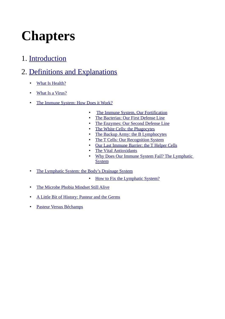## **Chapters**

1. Introduction

#### 2. Definitions and Explanations

- What Is Health?  $\bullet$
- What Is a Virus?
- The Immune System: How Does it Work?  $\bullet$ 
	- $\bullet$ The Immune System, Our Fortification
	- $\bullet$ The Bacterias: Our First Defense Line
	- The Enzymes: Our Second Defense Line
	- $\bullet$ The White Cells: the Phagocytes
	- $\bullet$ The Backup Army: the B Lymphocytes
	- $\bullet$ The T Cells: Our Recognition System
	- Our Last Immune Barrier: the T Helper Cells  $\bullet$
	- **The Vital Antioxidants**  $\bullet$
	- Why Does Our Immune System Fail? The Lymphatic  $\bullet$ **System**
- The Lymphatic System: the Body's Drainage System
	- $\bullet$ How to Fix the Lymphatic System?
- The Microbe Phobia Mindset Still Alive  $\bullet$
- A Little Bit of History: Pasteur and the Germs  $\bullet$
- Pasteur Versus Béchamps  $\bullet$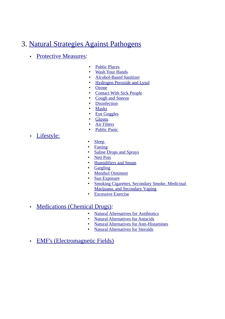#### 3. Natural Strategies Against Pathogens

- Protective Measures:
- Public Places
- Wash Your Hands
- Alcohol-Based Sanitizer
- Hydrogen Peroxide and Lysol
- Ozone
- **Contact With Sick People**
- Cough and Sneeze
- Disinfection
- **Masks**
- Eye Goggles
- **Gloves**
- Air Filters
- Public Panic
- Lifestyle:
- Sleep
- Fasting
- Saline Drops and Sprays
- Neti Pots
- Humidifiers and Steam
- Gargling
- Menthol Ointment
- Sun Exposure
- Smoking Cigarettes, Secondary Smoke, Medicinal Marijuana, and Secondary Vaping
- Excessive Exercise
- Medications (Chemical Drugs):
	- Natural Alternatives for Antibiotics
	- Natural Alternatives for Antacids
	- Natural Alternatives for Anti-Histamines
	- Natural Alternatives for Steroids
- EMF's (Electromagnetic Fields)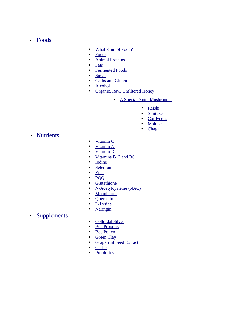• Foods

- What Kind of Food?
- Foods
- Animal Proteins
- Fats
- Fermented Foods
- Sugar
- Carbs and Gluten
- Alcohol
- Organic, Raw, Unfiltered Honey
	- A Special Note: Mushrooms
		- Reishi
		- Shiitake
		- Cordyceps
		- Maitake
		- Chaga
- Nutrients
- Vitamin C
- Vitamin A
- Vitamin D
- Vitamins B12 and B6
- Iodine
- Selenium
- Zinc
- PQQ
- Glutathione
- N-Acetylcysteine (NAC)
- Monolaurin
- Quercetin
- L-Lysine
- Naringin
- Supplements
- Colloidal Silver<br>• Bee Propolis
- **Bee Propolis**
- Bee Pollen
- Green Clay
- Grapefruit Seed Extract
- Garlic
- Probiotics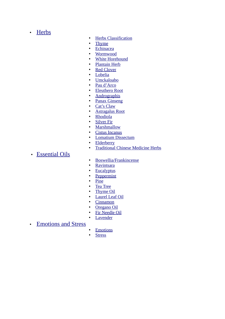• Herbs

- Herbs Classification
- Thyme
- Echinacea
- Wormwood
- White Horehound
- Plantain Herb
- Red Clover
- Lobelia
- Umckaloabo
- Pau d'Arco
- Eleuthero Root
- Andrographis
- Panax Ginseng
- Cat's Claw
- Astragalus Root
- Rhodiola
- Silver Fir
- Marshmallow
- Cistus Incanus
- Lomatium Dissectum
- Elderberry
- Traditional Chinese Medicine Herbs
- Essential Oils
- Boswellia/Frankincense
- Ravintsara
- Eucalyptus
- Peppermint
- Pine
- Tea Tree
- Thyme Oil
- Laurel Leaf Oil
- Cinnamon
- Oregano Oil
- Fir Needle Oil
- Lavender
- Emotions and Stress
- Emotions<br>• Stress
- **Stress**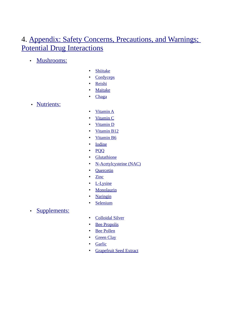#### 4. Appendix: Safety Concerns, Precautions, and Warnings; Potential Drug Interactions

- Mushrooms:
- Shiitake
- Cordyceps
- Reishi
- Maitake
- Chaga
- Nutrients:
- Vitamin A
- Vitamin C
- Vitamin D
- Vitamin B12
- Vitamin B6
- Iodine
- PQQ
- Glutathione
- N-Acetylcysteine (NAC)
- **Quercetin**
- Zinc
- L-Lysine
- Monolaurin
- Naringin
- Selenium
- Supplements:
- Colloidal Silver
- Bee Propolis
- Bee Pollen
- Green Clay
- Garlic
- Grapefruit Seed Extract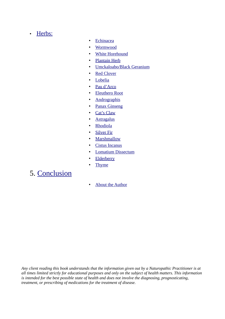#### • Herbs:

- Echinacea
- Wormwood
- White Horehound
- Plantain Herb
- Umckaloabo/Black Geranium
- Red Clover
- Lobelia
- Pau d'Arco
- Eleuthero Root
- Andrographis
- Panax Ginseng
- Cat's Claw
- Astragalus
- Rhodiola
- Silver Fir
- Marshmallow
- Cistus Incanus
- Lomatium Dissectum
- Elderberry
- Thyme

#### 5. Conclusion

• About the Author

*Any client reading this book understands that the information given out by a Naturopathic Practitioner is at all times limited strictly for educational purposes and only on the subject of health matters. This information is intended for the best possible state of health and does not involve the diagnosing, prognosticating, treatment, or prescribing of medications for the treatment of disease.*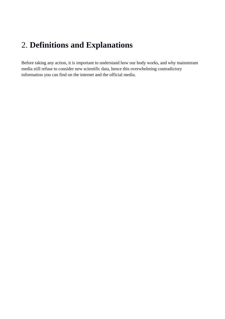#### <span id="page-8-0"></span>2. **Definitions and Explanations**

Before taking any action, it is important to understand how our body works, and why mainstream media still refuse to consider new scientific data, hence this overwhelming contradictory information you can find on the internet and the official media.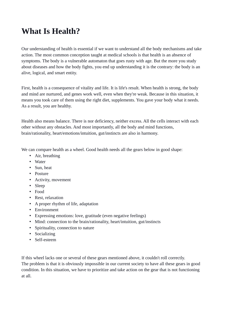#### <span id="page-9-0"></span>**What Is Health?**

Our understanding of health is essential if we want to understand all the body mechanisms and take action. The most common conception taught at medical schools is that health is an absence of symptoms. The body is a vulnerable automaton that goes rusty with age. But the more you study about diseases and how the body fights, you end up understanding it is the contrary: the body is an alive, logical, and smart entity.

First, health is a consequence of vitality and life. It is life's result. When health is strong, the body and mind are nurtured, and genes work well, even when they're weak. Because in this situation, it means you took care of them using the right diet, supplements. You gave your body what it needs. As a result, you are healthy.

Health also means balance. There is nor deficiency, neither excess. All the cells interact with each other without any obstacles. And most importantly, all the body and mind functions, brain/rationality, heart/emotions/intuition, gut/instincts are also in harmony.

We can compare health as a wheel. Good health needs all the gears below in good shape:

- Air, breathing
- Water
- Sun, heat
- Posture
- Activity, movement
- Sleep
- Food
- Rest, relaxation
- A proper rhythm of life, adaptation
- Environment
- Expressing emotions: love, gratitude (even negative feelings)
- Mind: connection to the brain/rationality, heart/intuition, gut/instincts
- Spirituality, connection to nature
- Socializing
- Self-esteem

If this wheel lacks one or several of these gears mentioned above, it couldn't roll correctly. The problem is that it is obviously impossible in our current society to have all these gears in good condition. In this situation, we have to prioritize and take action on the gear that is not functioning at all.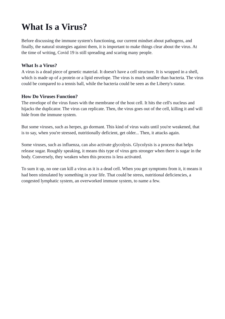## <span id="page-10-0"></span>**What Is a Virus?**

Before discussing the immune system's functioning, our current mindset about pathogens, and finally, the natural strategies against them, it is important to make things clear about the virus. At the time of writing, Covid 19 is still spreading and scaring many people.

#### **What Is a Virus?**

A virus is a dead piece of genetic material. It doesn't have a cell structure. It is wrapped in a shell, which is made up of a protein or a lipid envelope. The virus is much smaller than bacteria. The virus could be compared to a tennis ball, while the bacteria could be seen as the Liberty's statue.

#### **How Do Viruses Function?**

The envelope of the virus fuses with the membrane of the host cell. It hits the cell's nucleus and hijacks the duplicator. The virus can replicate. Then, the virus goes out of the cell, killing it and will hide from the immune system.

But some viruses, such as herpes, go dormant. This kind of virus waits until you're weakened, that is to say, when you're stressed, nutritionally deficient, get older... Then, it attacks again.

Some viruses, such as influenza, can also activate glycolysis. Glycolysis is a process that helps release sugar. Roughly speaking, it means this type of virus gets stronger when there is sugar in the body. Conversely, they weaken when this process is less activated.

To sum it up, no one can kill a virus as it is a dead cell. When you get symptoms from it, it means it had been stimulated by something in your life. That could be stress, nutritional deficiencies, a congested lymphatic system, an overworked immune system, to name a few.